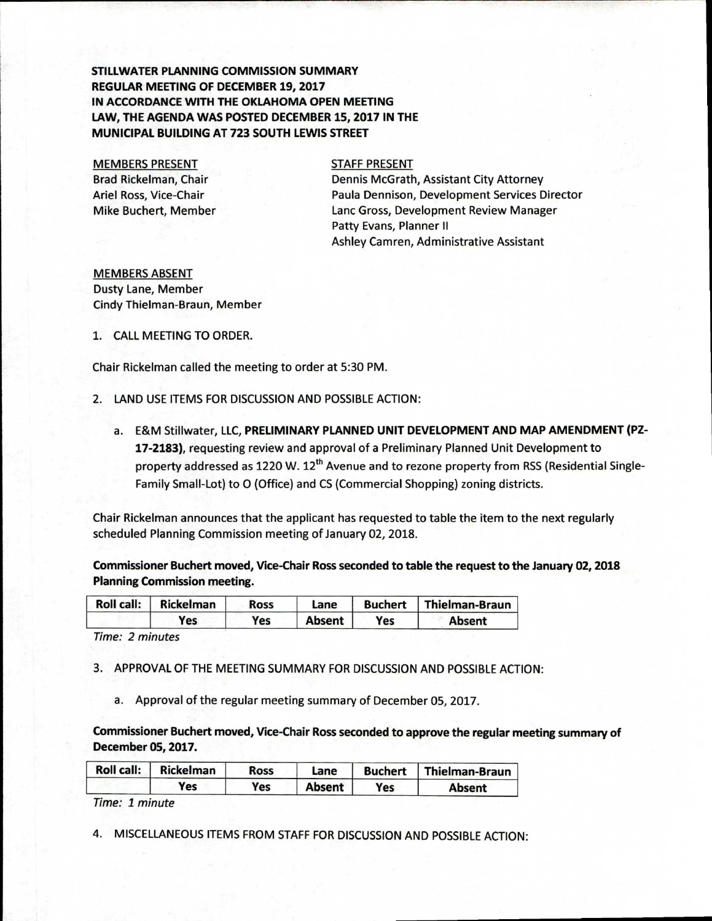## **STILLWATER PLANNING COMMISSION SUMMARY REGULAR MEETING OF DECEMBER 19, 2017 IN ACCORDANCE WITH THE OKLAHOMA OPEN MEETING LAW, THE AGENDA WAS POSTED DECEMBER 15, 2017 IN THE MUNICIPAL BUILDING AT 723 SOUTH LEWIS STREET**

MEMBERS PRESENT Brad Rickelman, Chair Ariel Ross, Vice-Chair Mike Buchert, Member

## STAFF PRESENT

Dennis McGrath, Assistant City Attorney Paula Dennison, Development Services Director Lanc Gross, Development Review Manager Patty Evans, Planner II Ashley Camren, Administrative Assistant

MEMBERS ABSENT Dusty Lane, Member Cindy Thielman-Braun, Member

1. CALL MEETING TO ORDER.

Chair Rickelman called the meeting to order at 5:30 PM.

- 2. LAND USE ITEMS FOR DISCUSSION AND POSSIBLE ACTION:
	- a. E&M Stillwater, LLC, **PRELIMINARY PLANNED UNIT DEVELOPMENT AND MAP AMENDMENT (PZ-17-2183),** requesting review and approval of a Preliminary Planned Unit Development to property addressed as 1220 W. 12<sup>th</sup> Avenue and to rezone property from RSS (Residential Single-Family Small-Lot) to 0 (Office) and CS (Commercial Shopping) zoning districts.

Chair Rickelman announces that the applicant has requested to table the item to the next regularly scheduled Planning Commission meeting of January 02, 2018.

**Commissioner Buchert moved, Vice-Chair Ross seconded to table the request to the January 02, 2018 Planning Commission meeting.** 

|  | Roll call: Rickelman | <b>Ross</b> | Lane          |     | Buchert   Thielman-Braun |
|--|----------------------|-------------|---------------|-----|--------------------------|
|  | Yes                  | Yes         | <b>Absent</b> | Yes | Absent                   |

Time: 2 minutes

3. APPROVAL OF THE MEETING SUMMARY FOR DISCUSSION AND POSSIBLE ACTION:

a. Approval of the regular meeting summary of December 05, 2017.

**Commissioner Buchert moved, Vice-Chair Ross seconded to approve the regular meeting summary of December 05, 2017.** 

| Roll call: | Rickelman | Ross | Lane   | Buchert | <b>Thielman-Braun</b> |
|------------|-----------|------|--------|---------|-----------------------|
|            | Yes       | Yes  | Absent | Yes     | Absent                |

Time: 1 minute

4. MISCELLANEOUS ITEMS FROM STAFF FOR DISCUSSION AND POSSIBLE ACTION: